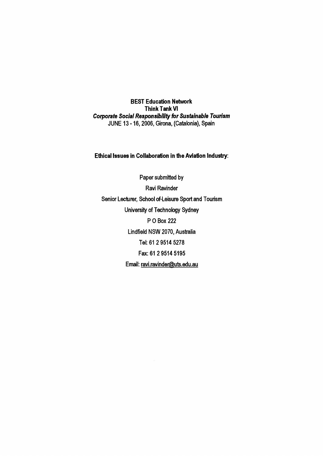BEST Education Network Think Tank VI *Corporate Social Responsibility for Sustainable Tourism* JUNE 13 -16, 2006, Girona, (Catalonia), Spain

## Ethical Issues in Collaboration in the Aviation Industry:

Paper submitted by Ravi Ravinder Senior Lecturer, School of-leisure Sport and Tourism University of Technology Sydney POBox 222 Lindfield NSW 2070, Australia Tel: 61 2 9514 5278 Fax: 61 2 9514 5195 Email: [ravi.ravinder@uts.edu.au](mailto:ravi.ravinder@uts.edu.au)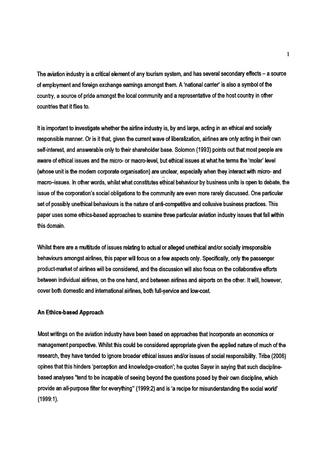The aviation industry is a critical element of any tourism system, and has several secondary effects - a source of employment and foreign exchange earnings amongst them. A 'national carrier' is also a symbol of the country, a source of pride amongst the local community and a representative of the host country in other countries that it flies to.

It is important to investigate whether the airline industry is, by and large, acting in an ethical and socially responsible manner. Or is it that, given the current wave of liberalization, airlines are only acting in their own self-interest and answerable only to their shareholder base. Solomon (1993) points out that most people are aware of ethical issues and the micro- or macro-level, but ethical issues at what he terms the 'molar' level (whose unit is the modem corporate organisation) are unclear, especially when they interact with micro- and . The contribution of the contribution of the contribution of the contribution of the contribution of the contribution of the contribution of the contribution of the contribution of the contribution of the contribution of macro-issues. In other words, whilst what constitutes ethical behaviour by business units is open to debate, the issue of the corporation's social obligations to the community are even more rarely discussed. One particular set of possibly unethical behaviours is the nature of anti-competitive and collusive business practices. This paper uses some ethics-based approaches to examine three particular aviation industry issues that fall within this domain.

Whilst there are a multitude of issues relating to actual or alleged unethical and/or socially irresponsible behaviours amongst airlines, this paper will focus on a few aspects only. Specifically, only the passenger product-market of airlines will be considered, and the discussion will also focus on the collaborative efforts between individual airlines, on the one hand, and between airiines and airports on the other. It will, however, cover both domestic and international airlines, both full-service and low-cost.

## **An** Ethics-based Approach

Most writings on the aviation industry have been based on approaches that incorporate an economics or management perspective. Whilst this could be considered appropriate given the applied nature of much of the research, they have tended to ignore broader ethical issues and/or issues of social responsibility. Tribe (2006) opines that this hinders 'perception and knowledge-creation'; he quotes Sayer in saying that such disciplinebased analyses "tend to be incapable of seeing beyond the questions posed by their own discipline, which provide an all-purpose filter for everything" (1999:2) and is 'a recipe for misunderstanding the social world' (1999:1).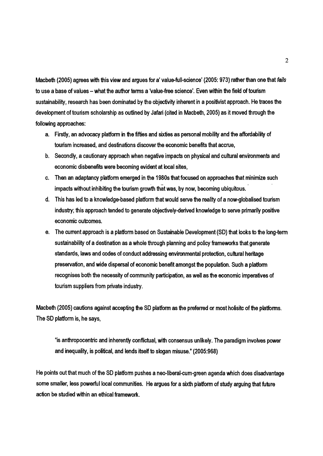Macbeth (2005) agrees with this view and argues for a' value-full-science' (2005: 973) rather than one that *fails* to use a base of values - what the author terms a 'value-free science'. Even within the field of tourism sustainability, research has been dominated by the objectivity inherent in a positivist approach. He traces the development of tourism scholarship as outlined by Jafari (cited in Macbeth, 2005) as it moved through the following approaches:

- a. Firstly, an advocacy platform in the fifties and sixties as personal mobility and the affordability of tourism increased, and destinations discover the economic benefits that accrue,
- b. Secondly, a cautionary approach when negative impacts on physical and cultural environments and economic disbenefits were becoming evident at local sites,
- c. Then an adaptancy platform emerged in the 1980s that focused on approaches that minimize such impacts without inhibiting the tourism growth that was, by now, becoming ubiquitous.
- d. This has led to a knowledge-based platform that would serve the reality of a now-globalised tourism industry; this approach tended to generate objectively-derived knowledge to serve primarily positive economic outcomes.
- e. The current approach is a platform based on Sustainable Development (SD) that looks to the long-term sustainability of a destination as a whole through planning and policy frameworks that generate standards, laws and codes of conduct addressing environmental protection, cultural heritage preservation, and wide dispersal of economic benefit amongst the population. Such a platform recognises both the necessity of community participation, as well as the economic imperatives of tourism suppliers from private industry.

Macbeth (2005) cautions against accepting the SD platform as the preferred or most holisitc of the platforms. The SD platform is, he says,

"is anthropocentric and inherently conflictual, with consensus unlikely. The paradigm involves power and inequality, is political, and lends itself to slogan misuse." (2005:968)

He points out that much of the SD platform pushes a neo-liberal-cum-green agenda which does disadvantage some smaller, less powerful local communities. He argues for a sixth platform of study arguing that future action be studied within an ethical framework.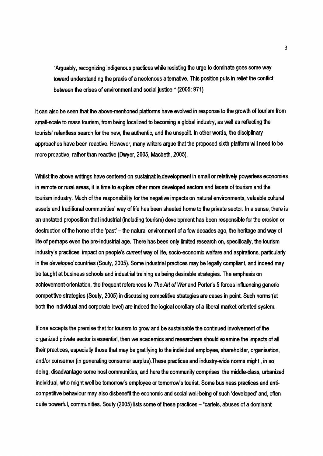"Arguably, recognizing indigenous practices while resisting the urge to dominate goes some way toward understanding the praxis of a neotenous alternative. This position puts in relief the conflict between the crises of environment and social justice." (2005: 971)

It can also be seen that the above-mentioned platforms have evolved in response to the growth of tourism from small-scale to mass tourism, from being localized to becoming a global industry, as well as reflecting the tourists' relentless search for the new, the authentic, and the unspoilt. In other words, the disciplinary approaches have been reactive. However, many writers argue that the proposed sixth platform will need to be more proactive, rather than reactive (Dwyer, 2005, Macbeth, 2005).

Whilst the above writings have centered on sustainable development in small or relatively powerless economies in remote or rural areas, it is time to explore other more developed sectors and facets of tourism and the tourism industry. Much of the responsibility for the negative impacts on natural environments, valuable cultural assets and traditional communities' way of life has been sheeted home to the private sector. In a sense, there is an unstated proposition that industrial (including tourism) development has been responsible for the erosion or destruction of the home of the 'past' – the natural environment of a few decades ago, the heritage and way of life of perhaps even the pre-industrial age. There has been only limited research on, specifically, the tourism industry's practices' impact on people's *currenfway* of life, socio-economic welfare and aspirations, particularly in the *developed* countries (Souty, 2005). Some industrial practices may be legally compliant, and indeed may be taught at business schools and industrial training as being desirable strategies. The emphasis on achievement-orientation, the frequent references to *The Art* of *War* and Porter's 5 forces influencing generic competitive strategies (Souty, 2005) in discussing competitive strategies are cases in point Such norms'(et both the individual and corporate level) are indeed the logical corollary of a liberal market-oriented system.

If one accepts the premise that for tourism to grow and be sustainable the continued involvement of the organized private sector is essential, then we academics and researchers should examine the impacts of all their practices, especially those that may be gratifying to the individual employee, shareholder, organisation, and/or consumer (in generating consumer surplus).These practices and industry-wide norms might, in so doing, disadvantage some host communities, and here the community comprises the middle-class, urbanized individual, who might well be tomorrow's employee or tomorrow's tourist. Some business practices and anticompetitive behaviour may also disbenefit the economic and social well-being of such 'developed' and, often quite powerful, communities. Souty (2005) lists some of these practices - "cartels, abuses of a dominant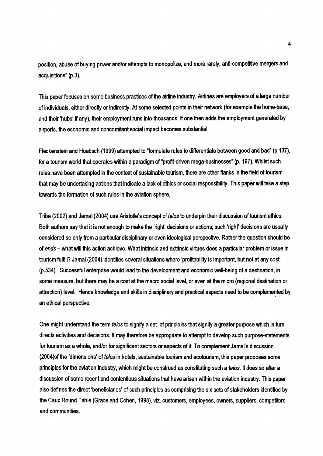position, abuse of buying power and/or attempts to monopolize, and more rarely, anti-competitive mergers and acquisitions" (p.3).

This paper focuses on some business practices of the airline industry. Airlines are employers of a large number of individuals, either directly or indirectly. At some selected points in their network (for example the home-base, and their 'hubs' if any), their employment runs into thousands. If one then adds the employment generated by airports, the economic and concomitant social impact becomes substantial.

Fleckenstein and Huebsch (1999) attempted to "formulate rules to differentiate between good and bad" (p.137), for a tourism world that operates within a paradigm of "profit-driven mega-businesses" (p. 197). Whilst such rules have been attempted in the context of sustainable tourism, there are other flanks in the field of tourism that may be undertaking actions that indicate a lack of ethics or social responsibility. This paper will take a step towards the formation of such rules in the aviation sphere.

Tribe (2002) and Jamal (2004) use Aristotle's concept of *telos* to underpin their discussion oftourism ethics. Both authors say that it is not enough to make the 'right' decisions or actions; such 'right' decisions are usually considered so only from a particular disciplinary or even ideological perspective. Rather the question should be of *ends -* what will this action achieve. What intrinsic and extrinsic virtues does a particular problem or issue in tourism fulfill? Jamal (2004) identifies several situations where 'profitability is important, but not at any cost' (p.534). Successful enterprise would lead to the development and economic well-being of a destination, in some measure, but there may be a cost at the macro social level, or even at the micro (regional destination or attraction) level. Hence knowledge and skills in disciplinary and practical aspects need to be complemented by<br>. an ethical perspective.

One might understand the term *telos* to signify a set of principles that signify a greater purpose which in tum directs activities and decisions. It may therefore be appropriate to attempt to develop such purpose-statements for tourism as a whole, and/or for significant sectors or aspects of it To complement Jamal's discussion (2004)of the 'dimensions' of *telos* in hotels, sustainable tourism and ecotourism, this paper proposes some principles for the aviation industry, which might be construed as constituting such a *te/os.* It does so after a discussion of some recent and contentious situations that have arisen within the aviation industry. This paper also defines the direct 'beneficiaries' of such principles as comprising the six sets of stakeholders identified by the Caux Round Table (Grace and Cohen, 1998), viz. customers, employees, owners, suppliers, competitors and communities.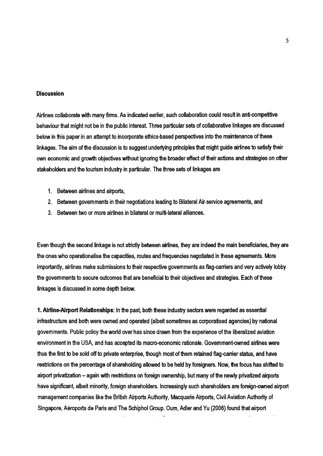## **Discussion**

Airlines collaborate with many firms. As indicated earlier, such collaboration could result in anti-competitive behaviour that might not be in the public interest. Three particular sets of collaborative linkages are discussed below in this paper in an attempt to incorporate ethics-based perspectives into the maintenance of these linkages. The aim of the discussion is to suggest underlying principles that might guide airlines to satisfy their own economic and growth objectives without ignoring the broader effect of their actions and strategies on other stakeholders and the tourism industry in particular. The three sets of linkages are

- 1. Between airlines and airports,
- 2. Between governments in their negotiations leading to Bilateral Air service agreements, and
- 3. Between two or more airlines in bilateral or multi-lateral alliances.

Even though the second linkage is not strictly between airlines, they are indeed the main beneficiaries, they are the ones who operationalise the capacities, routes and frequencies negotiated in these agreements. More importantly, airlines make submissions to their respective governments as flag-carriers and very actively lobby the govern ments to secure outcomes that are beneficial to their objectives and strategies. Each of these linkages is discussed in some depth below.

1.Airline-Airport Relationships: In the past, both these industry sectors were regarded as essential infrastructure and both were owned and operated {albeit sometimes as corporatised agencies} by national governments. Public policy the world over has since drawn from the experience of the liberalized aviation environment in the USA, and has accepted its macro-economic rationale. Govemment-owned airlines were thus the first to be sold off to private enterprise, though most of them retained flag-carrier status, and have restrictions on the percentage of shareholding allowed to be held by foreigners. Now, the focus has shifted to airport privatization – again with restrictions on foreign ownership, but many of the newly privatized airports have significant, albeit minority, foreign shareholders. Increasingly such shareholders are foreign-owned airport management companies like the British Airports Authority, Macquarie Airports, Civil Aviation Authority of Singapore, Aeroports de Paris and The Schiphol Group. Dum, Adler and Yu {2006} found that airport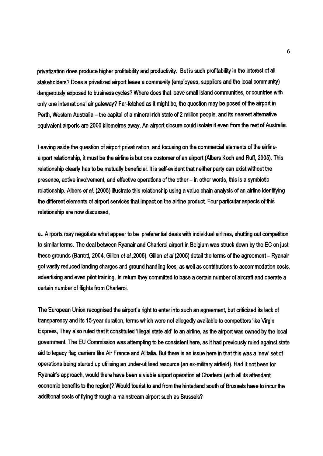privatization does produce higher profitability and productivity. But is such profitability in the interest of all stakeholders? Does a privatized airport leave a community (employees, suppliers and the local community) dangerously exposed to business cycles? Where does that leave small island communities, or countries with only one international air gateway? Far-fetched as it might be, the question may be posed of the airport in Perth, Western Australia – the capital of a mineral-rich state of 2 million people, and its nearest alternative equivalent airports are 2000 kilometres away. An airport closure could isolate it even from the rest of Australia.

Leaving aside the question of airport privatization, and focusing on the commercial elements of the airlineairport relationship, it must be the airline is but one customer of an airport (Albers Koch and Ruff, 2005). This relationship clearly has to be mutually beneficial. It is self-evident that neither party can exist without the presence, active involvement, and effective operations of the other - in other words, this is a symbiotic relationship. Albers et *aI,* (2005) illustrate this relationship using a value chain analysis of an airline identifying the different elements of airport services that impact on the airline product. Four particular aspects of this relationship are now discussed,

a.. Airports may negotiate what appear to be preferential deals with individual airlines, shutting out competition to similar terms. The deal between Ryanair and Charleroi airport in Belgium was struck down by the EC on just these grounds (Barrett, 2004, Gillen et *al.,2005).* Gillen et *al* (2005) detail the terms of the agreement - Ryanair got vastly reduced landing charges and ground handling fees, as well as contributions to accommodation costs, advertising and even pilot training. In return they committed to base a certain number of aircraft and operate a certain number of flights from Charleroi.

The European Union recognised the airport's right to enter into such an agreement, but criticized its lack of<br>. transparency and its 15-year duration, terms which were not allegedly available to competitors like Virgin Express, They also ruled that it constituted 'illegal state aid' to an airline, as the airport was owned by the local government. The EU Commission was attempting to be consistent here, as it had previously ruled against state aid to legacy flag carriers like Air France and Alitalia. But there is an issue here in that this was a 'new' set of operations being started up utilising an under-utilised resource (an ex-military airfield). Had it not been for Ryanair's approach, would there have been a viable airport operation at Charleroi (with all its attendant economic benefits to the region)? Would tourist to and from the hinterland south of Brussels have to incur the additional costs of flying through a mainstream airport such as Brussels?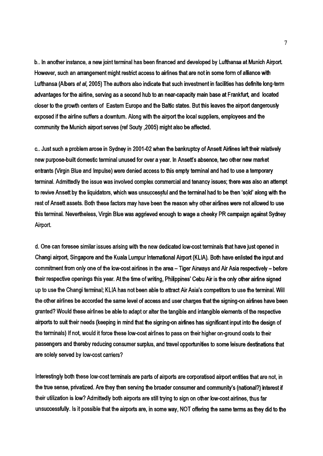b.. In another instance, a new joint terminal has been financed and developed by Lufthansa at Munich Airport. However, such an arrangement might restrict access to airlines that are not in some form of alliance with Lufthansa (Albers et *aI,* 2005) The authors also indicate that such investment in facilities has definite long-term advantages for the airline, serving as a second hub to an near-capacity main base at Frankfurt, and located closer to the growth centers of Eastern Europe and the Baltic states. But this leaves the airport dangerously exposed if the airline suffers a downturn. Along with the airport the local suppliers, employees and the community the Munich airport serves (ref Souty ,2005) might also be affected.

c.. Just such a problem arose in Sydney in 2001-02 when the bankruptcy of Ansett Airlines left their relatively new purpose-built domestic terminal unused for over a year. In Ansett's absence, two other new market entrants (Virgin Blue and Impulse) were denied access to this empty terminal and had to use a temporary terminal. Admittedly the issue was involved complex commercial and tenancy issues; there was also an attempt to revive Ansett by the liquidators, which was unsuccessful and the terminal had to be then 'sold' along with the rest of Ansett assets. Both these factors may have been the reason why other airlines were not allowed to use this terminal. Nevertheless, Virgin Blue was aggrieved enough to wage a cheeky PR campaign against Sydney Airport.

d. One can foresee similar issues arising with the new dedicated low-cost terminals that have just opened in Changi airport, Singapore and the Kuala Lumpur International Airport (KLIA). Both have enlisted the input and commitment from only one of the low-cost airlines in the area - Tiger Airways and Air Asia respectively - before their respective openings this year. At the time of writing, Philippines' Cebu Air is the only other airline signed up to use the Changi terminal; KLIA has not been able to attract Air Asia's competitors to use the terminal. Will the other airlines be accorded the same level of access and user charges that the signing-on airlines have been granted? Would these airlines be able-to adapt or alter the tangible and intangible elements of the respective airports to suit their needs (keeping in mind that the signing-on airlines has significant input into the design of the terminals) If not, would it force these low-cost airlines to pass on their higher on-ground costs to their passengers and thereby reducing consumer surplus, and travel opportunities to some leisure destinations that are solely served by low-cost carriers?

Interestingly both these low-cost terminals are parts of airports are corporatised airport entities that are not, in the true sense, privatized. Are they then serving the broader consumer and community's (national?) interest if their utilization is low? Admittedly both airports are still trying to sign on other low-cost airlines, thus far unsuccessfully. Is it possible that the airports are, in some way, NOT offering the same terms as they did to the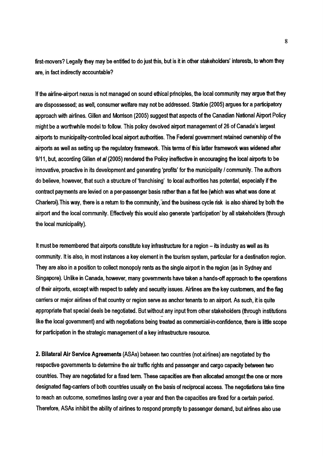first-movers? Legally they may be entitled to do just this, but is it in other stakeholders' interests, to whom they are, in fact indirectly accountable?

If the airline-airport nexus is not managed on sound ethical principles, the local community may argue that they are dispossessed; as well, consumer welfare may not be addressed. Starkie (200S) argues for a participatory approach with airlines. Gillen and Morrison (200S) suggest that aspects of the Canadian National Airport Policy might be a worthwhile model to follow. This policy devolved airport management of 26 of Canada's largest airports to municipality-controlled local airport authorities. The Federal government retained ownership of the airports as well as setting up the regulatory framework. This terms of this latter framework was widened after 9/11, but, according Gillen *et al* (200S) rendered the Policy ineffective in encouraging the local airports to be innovative, proactive in its development and generating 'profits' for the municipality / community. The authors do believe, however, that such a structure of 'franchising' to local authorities has potential, especially if the contract payments are levied on a per-passenger basis rather than a flat fee {which was what was done at Charleroi). This way, there is a return to the community, and the business cycle risk is also shared by both the airport and the local community. Effectively this would also generate 'participation' by all stakeholders (through the local municipality).

It must be remembered that airports constitute key infrastructure for a region  $-$  its industry as well as its community. It is also, in most instances a key element in the tourism system, particular for a destination region. They are also in a position to collect monopoly rents as the single airport in the region (as in Sydney and Singapore). Unlike in Canada, however, many governments have taken a hands-off approach to the operations of their airports, except with respect to safety and security issues. Airlines are the key customers, and the flag carriers or major airlines of that country or region serve as anchor tenants to an airport. As such, it is quite appropnate that special deals be negotiated. But without any input from other stakeholders (through institutions<br>. like the local government) and with negotiations being treated as commercial-in-confidence, there is little scope for participation in the strategic management of a key infrastructure resource.

2. Bilateral Air Service Agreements (ASAs) between two countries (not airlines) are negotiated by the respective governments to determine the air traffic rights and passenger and cargo capacity between two countries. They are negotiated for a fixed term. These capacities are then allocated amongst the one or more designated flaq-camers of both countries usually on the basis of reciprocal access. The negotiations take time to reach an outcome, sometimes lasting over a year and then the capacities are fixed for a certain period. Therefore, ASAs inhibit the ability of airlines to respond promptly to passenger demand, but airlines also use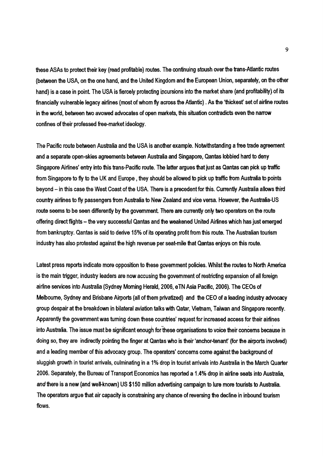these ASAs to protect their key (read profitable) routes. The continuing stoush over the trans-Atlantic routes (between the USA, on the one hand, and the United Kingdom and the European Union, separately, on the other hand) is a case in point. The USA is fiercely protecting incursions into the market share (and profitability) of its financially vulnerable legacy airlines (most of whom fly across the Atlantic) . As the 'thickest' set of airline routes in the world, between two avowed advocates of open markets, this situation contradicts even the narrow confines of their professed free-market ideology.

The Pacific route between Australia and the USA is another example. Notwithstanding a free trade agreement and a separate open-skies agreements between Australia and Singapore, Qantas lobbied hard to deny Singapore Airlines' entry into this trans-Pacific route. The latter argues that just as Qantas can pick up traffic from Singapore to fly to the UK and Europe, they should be allowed to pick up traffic from Australia to points beyond - in this case the West Coast of the USA. There is a precedent for this. Currently Australia allows third country airlines to fly passengers from Australia to New Zealand and vice versa. However, the Australia-US route seems to be seen differently by the government. There are currently only two operators on the route offering direct flights - the very successful Qantas and the weakened United Airlines which has just emerged from bankruptcy. Qantas is said to derive 15% of its operating profit from this route. The Australian tourism industry has also protested against the high revenue per seat-mile that Qantas enjoys on this route.

Latest press reports indicate more opposition to these government policies. Whilst the routes to North America is the main trigger, industry leaders are now accusing the govemment of restricting expansion of all foreign airline services into Australia (Sydney Morning Herald, 2006, eTN Asia Pacific, 2006). The CEOs of Melbourne, Sydney and Brisbane Airports (all of them privatized) and the CEO of a leading industry advocacy group despair at the breakdown in bilateral aviation talks with Qatar, Vietnam, Taiwan and Singapore recently. Apparently the government was tuming down these counties' request for increased access for their airlines into Australia. The issue must be significant enough for these organisations to voice their concerns because in doing so, they are indirectly pointing the finger at Qantas who is their 'anchor-tenant' (for the airports involved) and a leading member of this advocacy group. The operators' concerns come against the background of sluggish growth in tourist arrivals, culminating in a 1% drop in tourist arrivals into Australia in the March Quarter 2006. Separately, the Bureau of Transport Economics has reported a 1.4% drop in airline seats into Australia, *and* there is a new (and well-known) US \$150 million advertising campaign to lure more tourists to Australia. The operators argue that air capacity is constraining any chance of reversing the decline in inbound tourism flows.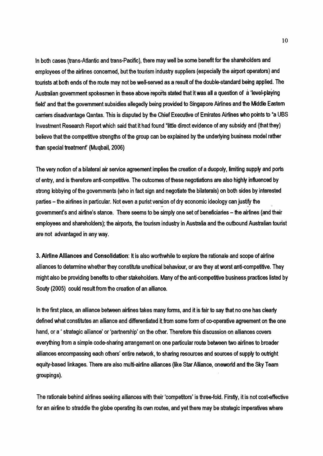In both cases (trans-Atlantic and trans-Pacific), there may well be some benefit for the shareholders and employees of the airlines concerned, but the tourism industry suppliers (especially the airport operators) and tourists at both ends of the route may not be well-served as a result of the double-standard being applied. The Australian government spokesmen in these above reports stated that it was all a question of a 'level-playing field' and that the government subsidies allegedly being provided to Singapore Airlines and the Middle Eastern carriers disadvantage Qantas. This is disputed by the Chief Executive of Emirates Airlines who points to "a UBS Investment Research Report which said that it had found "little direct evidence of any subsidy and (that they) believe that the competitive strengths of the group can be explained by the underlying business model rather than special treatment' (Muqbail, 2006)

The very notion of a bilateral air service agreement implies the creation of a duopoly, limiting supply and ports of entry, and is therefore anti-competitive. The outcomes of these negotiations are also highly influenced by strong lobbying of the governments (who in fact sign and negotiate the bilaterals) on both sides by interested parties – the airlines in particular. Not even a purist version of dry economic ideology can justify the  $\overline{\phantom{a}}$ government's and airline's stance. There seems to be simply one set of beneficiaries - the airlines (and their employees and shareholders); the airports, the tourism industry in Australia and the outbound Australian tourist are not advantaged in any way.

3. Airline Alliances and Consolidation: It is also worthwhile to explore the rationale and scope of airline alliances to determine whether they constitute unethical behaviour, or are they at worst anti-competitive. They might also be providing benefits to other stakeholders. Many of the anti-competitive business practices listed by Souty (2005) could result from the creation of an alliance.

In the first place, an alliance between airlines takes many forms, and it is fair to say that no one has clearly defined what constitutes an alliance and differentiated it from some form of co-operative agreement on the one hand, or a ' strategic alliance' or 'partnership' on the other. Therefore this discussion on alliances covers everything from a simple code-sharing arrangement on one particular route between two airlines to broader alliances encompassing each ofhers' entire network, to sharing resources and sources of supply to outright equity-based linkages. There are also multi-airline alliances (like Star Alliance, oneworld and the Sky Team groupings).

The rationale behind airlines seeking alliances with their 'competitors' is three-fold. Firstly, it is not cost-effective for an airline to straddle the globe operating its own routes, and yet there may be strategic imperatives where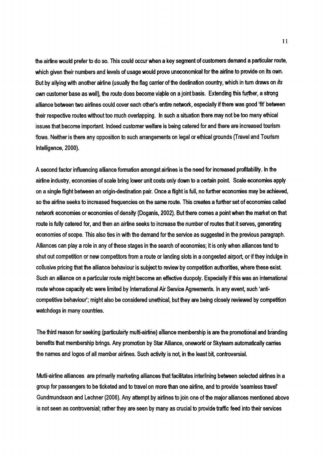the airline would prefer to do so. This could occur when a key segment of customers demand a particular route, which given their numbers and levels of usage would prove uneconomical for the airline to provide on its own. But by allying with another airline (usually the flag carrier of the destination country, which in tum draws on *its own* customer base as well), the route does become viable on a joint basis. Extending this further, a strong alliance between two airlines could cover each other's entire network, especially if there was good 'fit' between their respective routes without too much overlapping. In such a situation there may not be too many ethical issues that become important. Indeed customer welfare is being catered for and there are increased tourism flows. Neither is there any opposition to such arrangements on legal or ethical grounds (Travel and Tourism Intelligence, 2000).

A second factor influencing alliance formation amongst airlines is the need for increased profitability. In the airline industry, economies of scale bring lower unit costs only down to a certain point. Scale economies apply on a single flight between an origin-destination pair. Once a flight is full, no further economies may be achieved, so the airline seeks to increased frequencies on the same route. This creates a further set of economies called network economies or economies of density (Doganis, 2002). But there comes a point when the market on that route is fully catered for, and then an airline seeks to increase the number of routes that it serves, generating economies of scope. This also ties in with the demand for the service as suggested in the previous paragraph. Alliances can play a role in any of these stages in the search of economies; it is only when alliances tend to shut out competition or new competitors from a route or landing slots in a congested airport, or if they indulge in collusive pricing that the alliance behaviour is subject to review by competition authorities, where these exist. Such an alliance on a particular route might become an effective duopoly. Especially if this was an international route whose capacity etc were limited by International Air Service Agreements. In any event, such 'anticompetitive behaviour'; might also be considered unethical, but they are being closely reviewed by competition watchdogs in many countries.

The third reason for seeking (particularly multi-airline) alliance membership is are the promotional and branding benefits that membership brings. Any promotion by Star Alliance, oneworld or Skyteam automatically carries the names and logos of all member airlines. Such activity is not, in the least bit, controversial.

Mutli-airline alliances are primarily marketing alliances that facilitates interlining between selected airlines in a group for passengers to be ticketed and to travel on more than one airline, and to provide 'seamless travel' Gundmundsson and Lechner (2006). Any attempt by airlines to join one of the major alliances mentioned above is not seen as controversial; rather they are seen by many as crucial to provide traffic feed into their services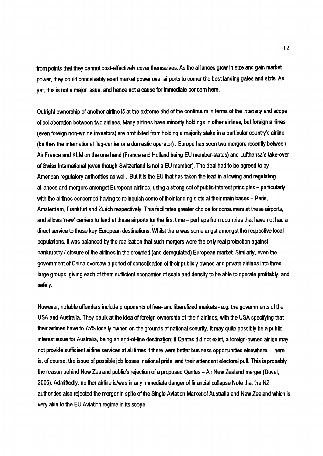from points that they cannot cost-effectively cover themselves. As the alliances grow in size and gain market power, they could conceivably exert market power over airports to comer the best landing gates and slots. As yet this is not a major issue, and hence not a cause for immediate concem here.

Outright ownership of another airline is at the extreme end of the continuum in terms of the intensity and 'scope of collaboration between two airlines. Many airlines have minority holdings in other airlines, but foreign airlines (even foreign non-airline investors) are prohibited from holding a majority stake in a particular country's airline (be they the international flag-carrier or a domestic operator). Europe has seen two mergers recently between Air France and KLM on the one hand (France and Holland being EU member-states) and Lufthansa's take-over of Swiss International (even though Switzerland is not a EU member). The deal had to be agreed to by American regulatory authorities as well. But it is the EU that has taken the lead in allowing and regulating alliances and mergers amongst European airlines, using a strong set of public-interest principles - particularly with the airlines concerned having to relinguish some of their landing slots at their main bases - Paris, Amsterdam, Frankfurt and Zurich respectively. This facilitates greater choice for consumers at these airports, and allows 'new' carriers to land at these airports for the first time – perhaps from countries that have not had a<br> $\,$ direct service to these key European destinations. Whilst there was some angst amongst the respective local populations, it was balanced by the realization that such mergers were the only real protection against bankruptcy / closure of the airlines in the crowded (and deregulated) European market Similarly, even the government of China oversaw a period of consolidation of their publicly owned and private airlines into three large groups, giving each of them sufficient economies of scale and density to be able to operate profitably, and safely.

However, notable offenders include proponents of free- and liberalized markets - e.g. the governments of the USA and Australia. They baulk at the idea of foreign ownership of 'their' airlines, with the USA specifying that their airlines have to 75% locally owned on the grounds of national security. It may quite possibly be a public interest issue for Australia, being an end-of-line destination; if Qantas did not exist, a foreign-owned airline may not provide sufficient airline services at all times if there were better business opportunities elsewhere. There is, of course, the issue of possible job losses, national pride, and their attendant electoral pull. This is probably the reason behind New Zealand public's rejection of a proposed Qantas - Air New Zealand merger (Duval, 2005). Admittedly, neither airline islwas in any immediate danger of financial collapse Note that the NZ authorities also rejected the merger in spite of the Single Aviation Market of Australia and New Zealand which is very akin to the EU Aviation regime in its scope.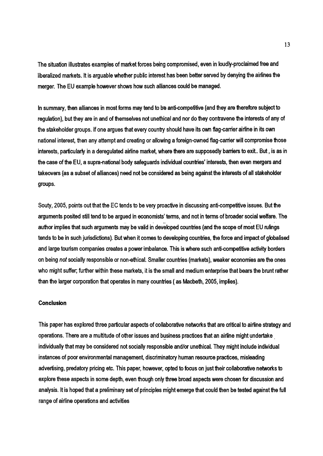The situation illustrates examples of market forces being compromised, even in loudly-proclaimed free and liberalized markets. It is arguable whether public interest has been better served by denying the airlines the merger. The EU example however shows how such alliances could be managed.

In summary, then alliances in most forms may tend to be anti-competitive (and they are therefore subject to regulation), but they are in and of themselves not unethical and nor do they contravene the interests of any of the stakeholder groups. If one argues that every country should have its own flaq-cerrier airline in its own national interest, then any attempt and creating or allowing a foreign-owned flag-carrier will compromise those interests, particularly in a deregulated airline market, where there are supposedly barriers to exit.. But, is as in the case of the EU, a supra-national body safeguards individual countries' interests, then even mergers and takeovers (as a subset of alliances) need not be considered as being against the interests of all stakeholder groups.

Souty, 2005, points out that the EC tends to be very proactive in discussing anti~ompetitive issues. But the arguments posited still tend to be argued in economists' terms, and not in terms of broader social welfare. The .. '.. . . author implies that such arguments may be valid in developed countries (and the scope of most EU rulings tends to be in such jurisdictions). But when it comes to developing countries, the force and impact of globalised and large tourism companies creates a power imbalance. This is where such anti~ompetitive activity borders on being *not* socially responsible or non-ethical. Smaller countries (markets), weaker economies are the ones who might suffer; further within these markets, it is the small and medium enterprise that bears the brunt rather than the larger corporation that operates in many countries (as Macbeth, 2005, implies).

## Conclusion

This paper has explored three particular aspects of collaborative networks that are critical to airline strategy and operations. There are a multitude of other issues and business practices that an airline might undertake individually that may be considered not socially responsible and/or unethical. They might include individual instances of poor environmental manaqement, discriminatory human resource practices, misleading advertising, predatory pricing etc. This paper, however, opted to focus on just their collaborative networks to explore these aspects in some depth, even though only three broad aspects were chosen for discussion and analysis. It is hoped that a preliminary set of principles might emerge that could then be tested against the full range of airline operations and activities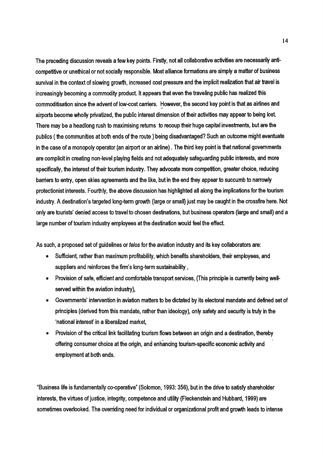The preceding discussion reveals a few key points. Firstly, not all collaborative activities are necessarily anticompetitive or unethical or not socially responsible. Most alliance formations are simply a matter of business survival in the context of slowing growth, increased cost pressure and the implicit realization that air travel is increasingly becoming a commodity product. It appears that even the traveling public has realized this commoditisation since the advent of low-cost carriers. However, the second key point is that as airlines and airports become wholly privatized, the public interest dimension of their activities may appear to being lost There may be a headlong rush to maximising retums to recoup their huge capital investments, but are the publics ( the communities at both ends of the route) being disadvantaged? Such an outcome might eventuate in the case of a monopoly operator (an airport or an airline) . The third key point is that national governments are complicit in creating non-level playing fields and not adequately safeguarding public interests, and more specifically, the interest of their tourism industry. They advocate more competition, greater choice, reducing barriers to entry, open skies agreements and the like, but in the end they appear to succumb to narrowly protectionist interests. Fourthly, the above discussion has highlighted all along the implications for the tourism industry. A destination's targeted long-term growth (large or small) just may be caught in the crossfire here. Not only are tourists' denied access to travel to chosen destinations, but business operators (large and small) and a large number of tourism industry employees at the destination would feel the effect.

As such, a proposed set of guidelines or *felos* for the aviation industry and its key collaborators are:

- Sufficient, rather than maximum profitability, which benefits shareholders, their employees, and suppliers and reinforces the firm's long-term sustainability ,
- Provision of safe, efficient and comfortable transport services, (This principle is currently being wellserved within the aviation industry),
- Governments' intervention in aviation matters to be dictated by its electoral mandate and defined set of principles (derived from this mandate, rather than ideology), only safety and security is truly in the 'national interesf in a liberalized market,
- Provision of the critical link facilitating tourism flows between an origin and a destination, thereby offering consumer choice at the origin, and enhancing tourism-specific economic activity and employment at both ends.

"Business life is fundamentally co-operative" (Solomon, 1993: 356), but in the drive to satisfy shareholder interests, the virtues of justice, integrity, competence and utility (Fleckenstein and Hubbard, 1999) are sometimes overlooked. The overriding need for individual or organizational profit and growth leads to intense